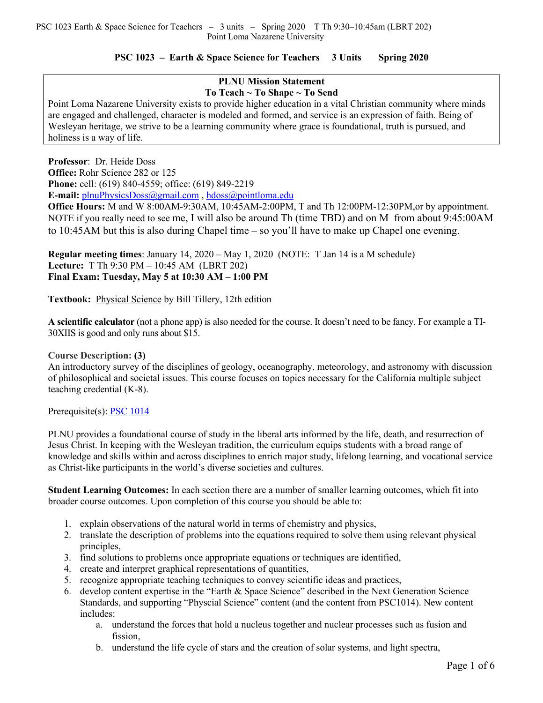# **PSC 1023 – Earth & Space Science for Teachers 3 Units Spring 2020**

## **PLNU Mission Statement To Teach ~ To Shape ~ To Send**

Point Loma Nazarene University exists to provide higher education in a vital Christian community where minds are engaged and challenged, character is modeled and formed, and service is an expression of faith. Being of Wesleyan heritage, we strive to be a learning community where grace is foundational, truth is pursued, and holiness is a way of life.

**Professor**: Dr. Heide Doss **Office:** Rohr Science 282 or 125 **Phone:** cell: (619) 840-4559; office: (619) 849-2219 **E-mail:** plnuPhysicsDoss@gmail.com , hdoss@pointloma.edu

**Office Hours:** M and W 8:00AM-9:30AM, 10:45AM-2:00PM, T and Th 12:00PM-12:30PM,or by appointment. NOTE if you really need to see me, I will also be around Th (time TBD) and on M from about 9:45:00AM to 10:45AM but this is also during Chapel time – so you'll have to make up Chapel one evening.

**Regular meeting times**: January 14, 2020 – May 1, 2020 (NOTE: T Jan 14 is a M schedule) **Lecture:** T Th 9:30 PM – 10:45 AM (LBRT 202) **Final Exam: Tuesday, May 5 at 10:30 AM – 1:00 PM**

**Textbook:** Physical Science by Bill Tillery, 12th edition

**A scientific calculator** (not a phone app) is also needed for the course. It doesn't need to be fancy. For example a TI-30XIIS is good and only runs about \$15.

## **Course Description: (3)**

An introductory survey of the disciplines of geology, oceanography, meteorology, and astronomy with discussion of philosophical and societal issues. This course focuses on topics necessary for the California multiple subject teaching credential (K-8).

### Prerequisite(s): PSC 1014

PLNU provides a foundational course of study in the liberal arts informed by the life, death, and resurrection of Jesus Christ. In keeping with the Wesleyan tradition, the curriculum equips students with a broad range of knowledge and skills within and across disciplines to enrich major study, lifelong learning, and vocational service as Christ-like participants in the world's diverse societies and cultures.

**Student Learning Outcomes:** In each section there are a number of smaller learning outcomes, which fit into broader course outcomes. Upon completion of this course you should be able to:

- 1. explain observations of the natural world in terms of chemistry and physics,
- 2. translate the description of problems into the equations required to solve them using relevant physical principles,
- 3. find solutions to problems once appropriate equations or techniques are identified,
- 4. create and interpret graphical representations of quantities,
- 5. recognize appropriate teaching techniques to convey scientific ideas and practices,
- 6. develop content expertise in the "Earth & Space Science" described in the Next Generation Science Standards, and supporting "Physcial Science" content (and the content from PSC1014). New content includes:
	- a. understand the forces that hold a nucleus together and nuclear processes such as fusion and fission,
	- b. understand the life cycle of stars and the creation of solar systems, and light spectra,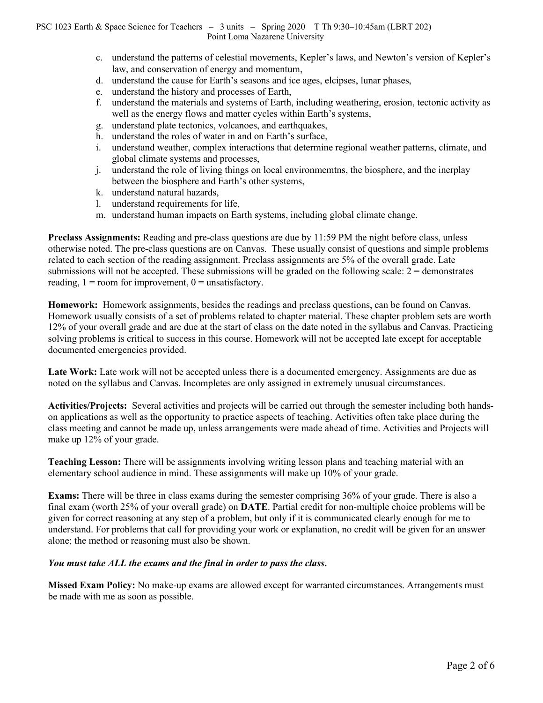- c. understand the patterns of celestial movements, Kepler's laws, and Newton's version of Kepler's law, and conservation of energy and momentum,
- d. understand the cause for Earth's seasons and ice ages, elcipses, lunar phases,
- e. understand the history and processes of Earth,
- f. understand the materials and systems of Earth, including weathering, erosion, tectonic activity as well as the energy flows and matter cycles within Earth's systems,
- g. understand plate tectonics, volcanoes, and earthquakes,
- h. understand the roles of water in and on Earth's surface,
- i. understand weather, complex interactions that determine regional weather patterns, climate, and global climate systems and processes,
- j. understand the role of living things on local environmemtns, the biosphere, and the inerplay between the biosphere and Earth's other systems,
- k. understand natural hazards,
- l. understand requirements for life,
- m. understand human impacts on Earth systems, including global climate change.

**Preclass Assignments:** Reading and pre-class questions are due by 11:59 PM the night before class, unless otherwise noted. The pre-class questions are on Canvas. These usually consist of questions and simple problems related to each section of the reading assignment. Preclass assignments are 5% of the overall grade. Late submissions will not be accepted. These submissions will be graded on the following scale:  $2 =$  demonstrates reading,  $1 =$  room for improvement,  $0 =$  unsatisfactory.

**Homework:** Homework assignments, besides the readings and preclass questions, can be found on Canvas. Homework usually consists of a set of problems related to chapter material. These chapter problem sets are worth 12% of your overall grade and are due at the start of class on the date noted in the syllabus and Canvas. Practicing solving problems is critical to success in this course. Homework will not be accepted late except for acceptable documented emergencies provided.

Late Work: Late work will not be accepted unless there is a documented emergency. Assignments are due as noted on the syllabus and Canvas. Incompletes are only assigned in extremely unusual circumstances.

**Activities/Projects:** Several activities and projects will be carried out through the semester including both handson applications as well as the opportunity to practice aspects of teaching. Activities often take place during the class meeting and cannot be made up, unless arrangements were made ahead of time. Activities and Projects will make up 12% of your grade.

**Teaching Lesson:** There will be assignments involving writing lesson plans and teaching material with an elementary school audience in mind. These assignments will make up 10% of your grade.

**Exams:** There will be three in class exams during the semester comprising 36% of your grade. There is also a final exam (worth 25% of your overall grade) on **DATE**. Partial credit for non-multiple choice problems will be given for correct reasoning at any step of a problem, but only if it is communicated clearly enough for me to understand. For problems that call for providing your work or explanation, no credit will be given for an answer alone; the method or reasoning must also be shown.

## *You must take ALL the exams and the final in order to pass the class***.**

**Missed Exam Policy:** No make-up exams are allowed except for warranted circumstances. Arrangements must be made with me as soon as possible.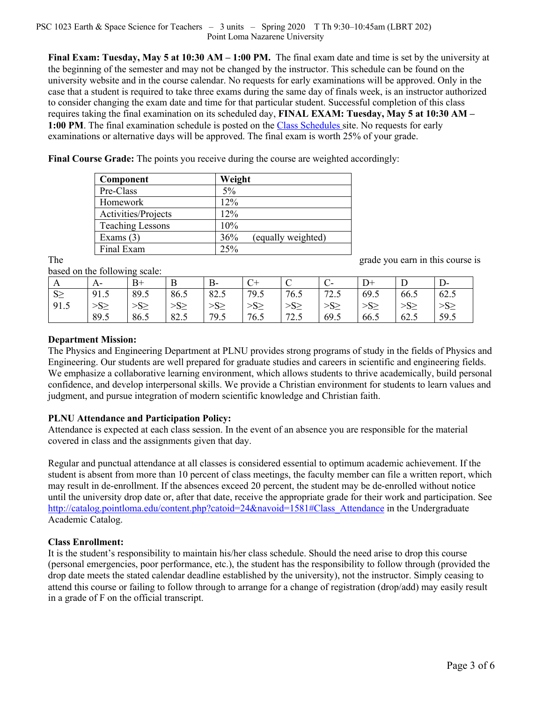### PSC 1023 Earth & Space Science for Teachers – 3 units – Spring 2020 T Th 9:30–10:45am (LBRT 202) Point Loma Nazarene University

**Final Exam: Tuesday, May 5 at 10:30 AM – 1:00 PM.** The final exam date and time is set by the university at the beginning of the semester and may not be changed by the instructor. This schedule can be found on the university website and in the course calendar. No requests for early examinations will be approved. Only in the case that a student is required to take three exams during the same day of finals week, is an instructor authorized to consider changing the exam date and time for that particular student. Successful completion of this class requires taking the final examination on its scheduled day, **FINAL EXAM: Tuesday, May 5 at 10:30 AM – 1:00 PM**. The final examination schedule is posted on the Class Schedules site. No requests for early examinations or alternative days will be approved. The final exam is worth 25% of your grade.

**Final Course Grade:** The points you receive during the course are weighted accordingly:

| Component               | Weight                    |
|-------------------------|---------------------------|
| Pre-Class               | 5%                        |
| Homework                | 12%                       |
| Activities/Projects     | 12%                       |
| <b>Teaching Lessons</b> | 10%                       |
| Exams $(3)$             | 36%<br>(equally weighted) |
| Final Exam              | 25%                       |

The grade you earn in this course is

based on the following scale:

| A        | $A-$      | $_{\rm B+}$ | B               | $B -$     | $\overline{C}+$ | ◡               |                 | $\rm D^+$       | Ľ               | D-   |
|----------|-----------|-------------|-----------------|-----------|-----------------|-----------------|-----------------|-----------------|-----------------|------|
| $S \geq$ | 91.5      | 89.5        | 86.5            | 82.5      | 79.5            | 76.5            | 72.5            | 69.5            | 66.5            | 62.5 |
| 91.5     | $>S \geq$ | $>S \geq$   | >S <sub>2</sub> | $>S \geq$ | >S <sub>2</sub> | >S <sub>2</sub> | >S <sub>2</sub> | >S <sub>2</sub> | >S <sub>2</sub> | >S   |
|          | 89.5      | 86.5        | 82.5            | 79.5      | 76.5            | 72.5<br>ر. ک    | 69.5            | 66.5            | 62.5            | 59.5 |

# **Department Mission:**

The Physics and Engineering Department at PLNU provides strong programs of study in the fields of Physics and Engineering. Our students are well prepared for graduate studies and careers in scientific and engineering fields. We emphasize a collaborative learning environment, which allows students to thrive academically, build personal confidence, and develop interpersonal skills. We provide a Christian environment for students to learn values and judgment, and pursue integration of modern scientific knowledge and Christian faith.

# **PLNU Attendance and Participation Policy:**

Attendance is expected at each class session. In the event of an absence you are responsible for the material covered in class and the assignments given that day.

Regular and punctual attendance at all classes is considered essential to optimum academic achievement. If the student is absent from more than 10 percent of class meetings, the faculty member can file a written report, which may result in de-enrollment. If the absences exceed 20 percent, the student may be de-enrolled without notice until the university drop date or, after that date, receive the appropriate grade for their work and participation. See http://catalog.pointloma.edu/content.php?catoid=24&navoid=1581#Class\_Attendance in the Undergraduate Academic Catalog.

## **Class Enrollment:**

It is the student's responsibility to maintain his/her class schedule. Should the need arise to drop this course (personal emergencies, poor performance, etc.), the student has the responsibility to follow through (provided the drop date meets the stated calendar deadline established by the university), not the instructor. Simply ceasing to attend this course or failing to follow through to arrange for a change of registration (drop/add) may easily result in a grade of F on the official transcript.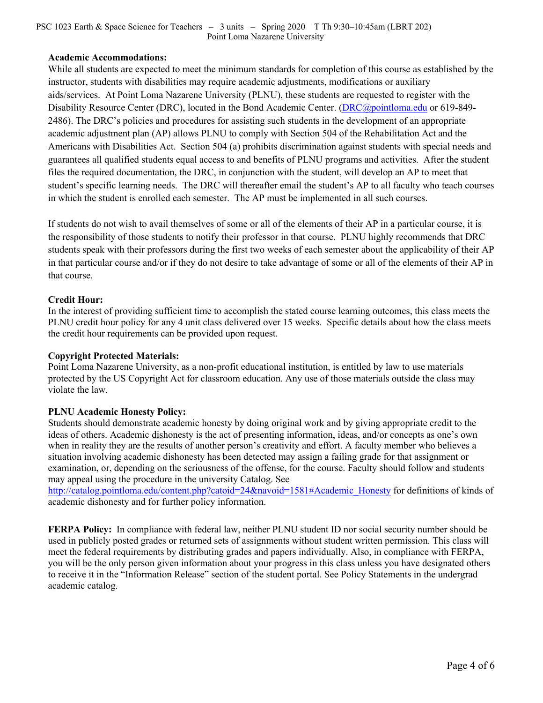### PSC 1023 Earth & Space Science for Teachers – 3 units – Spring 2020 T Th 9:30–10:45am (LBRT 202) Point Loma Nazarene University

## **Academic Accommodations:**

While all students are expected to meet the minimum standards for completion of this course as established by the instructor, students with disabilities may require academic adjustments, modifications or auxiliary aids/services. At Point Loma Nazarene University (PLNU), these students are requested to register with the Disability Resource Center (DRC), located in the Bond Academic Center. (DRC@pointloma.edu or 619-849- 2486). The DRC's policies and procedures for assisting such students in the development of an appropriate academic adjustment plan (AP) allows PLNU to comply with Section 504 of the Rehabilitation Act and the Americans with Disabilities Act. Section 504 (a) prohibits discrimination against students with special needs and guarantees all qualified students equal access to and benefits of PLNU programs and activities. After the student files the required documentation, the DRC, in conjunction with the student, will develop an AP to meet that student's specific learning needs. The DRC will thereafter email the student's AP to all faculty who teach courses in which the student is enrolled each semester. The AP must be implemented in all such courses.

If students do not wish to avail themselves of some or all of the elements of their AP in a particular course, it is the responsibility of those students to notify their professor in that course. PLNU highly recommends that DRC students speak with their professors during the first two weeks of each semester about the applicability of their AP in that particular course and/or if they do not desire to take advantage of some or all of the elements of their AP in that course.

## **Credit Hour:**

In the interest of providing sufficient time to accomplish the stated course learning outcomes, this class meets the PLNU credit hour policy for any 4 unit class delivered over 15 weeks. Specific details about how the class meets the credit hour requirements can be provided upon request.

## **Copyright Protected Materials:**

Point Loma Nazarene University, as a non-profit educational institution, is entitled by law to use materials protected by the US Copyright Act for classroom education. Any use of those materials outside the class may violate the law.

### **PLNU Academic Honesty Policy:**

Students should demonstrate academic honesty by doing original work and by giving appropriate credit to the ideas of others. Academic dishonesty is the act of presenting information, ideas, and/or concepts as one's own when in reality they are the results of another person's creativity and effort. A faculty member who believes a situation involving academic dishonesty has been detected may assign a failing grade for that assignment or examination, or, depending on the seriousness of the offense, for the course. Faculty should follow and students may appeal using the procedure in the university Catalog. See

http://catalog.pointloma.edu/content.php?catoid=24&navoid=1581#Academic\_Honesty for definitions of kinds of academic dishonesty and for further policy information.

**FERPA Policy:** In compliance with federal law, neither PLNU student ID nor social security number should be used in publicly posted grades or returned sets of assignments without student written permission. This class will meet the federal requirements by distributing grades and papers individually. Also, in compliance with FERPA, you will be the only person given information about your progress in this class unless you have designated others to receive it in the "Information Release" section of the student portal. See Policy Statements in the undergrad academic catalog.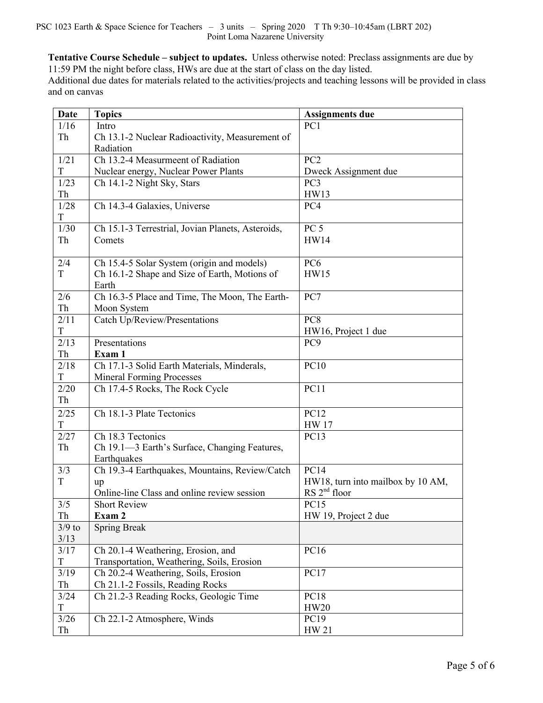**Tentative Course Schedule – subject to updates.** Unless otherwise noted: Preclass assignments are due by 11:59 PM the night before class, HWs are due at the start of class on the day listed.

Additional due dates for materials related to the activities/projects and teaching lessons will be provided in class and on canvas

| Date        | <b>Topics</b>                                     | Assignments due                   |
|-------------|---------------------------------------------------|-----------------------------------|
| 1/16        | Intro                                             | PC1                               |
| Th          | Ch 13.1-2 Nuclear Radioactivity, Measurement of   |                                   |
|             | Radiation                                         |                                   |
| 1/21        | Ch 13.2-4 Measurmeent of Radiation                | PC <sub>2</sub>                   |
| T           | Nuclear energy, Nuclear Power Plants              | Dweck Assignment due              |
| 1/23        | Ch 14.1-2 Night Sky, Stars                        | PC <sub>3</sub>                   |
| Th          |                                                   | HW13                              |
| 1/28<br>T   | Ch 14.3-4 Galaxies, Universe                      | PC4                               |
| 1/30        | Ch 15.1-3 Terrestrial, Jovian Planets, Asteroids, | PC <sub>5</sub>                   |
| Th          | Comets                                            | <b>HW14</b>                       |
|             |                                                   |                                   |
| 2/4         | Ch 15.4-5 Solar System (origin and models)        | PC <sub>6</sub>                   |
| T           | Ch 16.1-2 Shape and Size of Earth, Motions of     | <b>HW15</b>                       |
|             | Earth                                             |                                   |
| 2/6         | Ch 16.3-5 Place and Time, The Moon, The Earth-    | PC7                               |
| Th          | Moon System                                       |                                   |
| 2/11        | Catch Up/Review/Presentations                     | PC8                               |
| T           |                                                   | HW16, Project 1 due               |
| 2/13        | Presentations                                     | PC <sub>9</sub>                   |
| Th          | Exam 1                                            |                                   |
| 2/18        | Ch 17.1-3 Solid Earth Materials, Minderals,       | <b>PC10</b>                       |
| T           | <b>Mineral Forming Processes</b>                  |                                   |
| 2/20        | Ch 17.4-5 Rocks, The Rock Cycle                   | <b>PC11</b>                       |
| Th          |                                                   |                                   |
| 2/25        | Ch 18.1-3 Plate Tectonics                         | <b>PC12</b>                       |
| T           |                                                   | <b>HW</b> 17                      |
| 2/27        | Ch 18.3 Tectonics                                 | PC13                              |
| Th          | Ch 19.1-3 Earth's Surface, Changing Features,     |                                   |
|             | Earthquakes                                       |                                   |
| 3/3         | Ch 19.3-4 Earthquakes, Mountains, Review/Catch    | <b>PC14</b>                       |
| T           | up                                                | HW18, turn into mailbox by 10 AM, |
|             | Online-line Class and online review session       | RS 2 <sup>nd</sup> floor          |
| 3/5         | <b>Short Review</b>                               | <b>PC15</b>                       |
| Th          | Exam 2                                            | HW 19, Project 2 due              |
| $3/9$ to    | <b>Spring Break</b>                               |                                   |
| 3/13        |                                                   |                                   |
| 3/17        | Ch 20.1-4 Weathering, Erosion, and                | PC16                              |
| $\mathbf T$ | Transportation, Weathering, Soils, Erosion        |                                   |
| 3/19        | Ch 20.2-4 Weathering, Soils, Erosion              | <b>PC17</b>                       |
| Th          | Ch 21.1-2 Fossils, Reading Rocks                  |                                   |
| 3/24        | Ch 21.2-3 Reading Rocks, Geologic Time            | <b>PC18</b>                       |
| T           |                                                   | <b>HW20</b>                       |
| $3/26$      | Ch 22.1-2 Atmosphere, Winds                       | PC19                              |
| Th          |                                                   | HW 21                             |